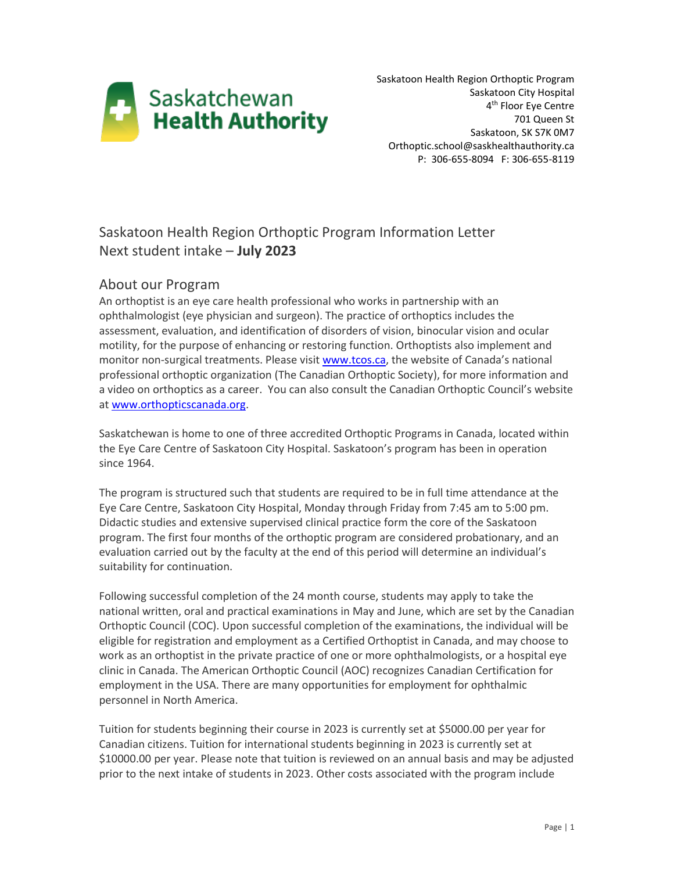

Saskatoon Health Region Orthoptic Program Saskatoon City Hospital 4<sup>th</sup> Floor Eye Centre 701 Queen St Saskatoon, SK S7K 0M7 Orthoptic.school@saskhealthauthority.ca P: 306-655-8094 F: 306-655-8119

# Saskatoon Health Region Orthoptic Program Information Letter Next student intake – **July 2023**

# About our Program

An orthoptist is an eye care health professional who works in partnership with an ophthalmologist (eye physician and surgeon). The practice of orthoptics includes the assessment, evaluation, and identification of disorders of vision, binocular vision and ocular motility, for the purpose of enhancing or restoring function. Orthoptists also implement and monitor non-surgical treatments. Please visit [www.tcos.ca](file://sktnhr.ca/healthdata/Eye%20Care%20Centre/SHR%20Orthoptic%20School/application%20and%20interview/2018/www.tcos.ca), the website of Canada's national professional orthoptic organization (The Canadian Orthoptic Society), for more information and a video on orthoptics as a career. You can also consult the Canadian Orthoptic Council's website a[t www.orthopticscanada.org.](file://sktnhr.ca/healthdata/Eye%20Care%20Centre/SHR%20Orthoptic%20School/application%20and%20interview/2018/www.orthopticscanada.org)

Saskatchewan is home to one of three accredited Orthoptic Programs in Canada, located within the Eye Care Centre of Saskatoon City Hospital. Saskatoon's program has been in operation since 1964.

The program is structured such that students are required to be in full time attendance at the Eye Care Centre, Saskatoon City Hospital, Monday through Friday from 7:45 am to 5:00 pm. Didactic studies and extensive supervised clinical practice form the core of the Saskatoon program. The first four months of the orthoptic program are considered probationary, and an evaluation carried out by the faculty at the end of this period will determine an individual's suitability for continuation.

Following successful completion of the 24 month course, students may apply to take the national written, oral and practical examinations in May and June, which are set by the Canadian Orthoptic Council (COC). Upon successful completion of the examinations, the individual will be eligible for registration and employment as a Certified Orthoptist in Canada, and may choose to work as an orthoptist in the private practice of one or more ophthalmologists, or a hospital eye clinic in Canada. The American Orthoptic Council (AOC) recognizes Canadian Certification for employment in the USA. There are many opportunities for employment for ophthalmic personnel in North America.

Tuition for students beginning their course in 2023 is currently set at \$5000.00 per year for Canadian citizens. Tuition for international students beginning in 2023 is currently set at \$10000.00 per year. Please note that tuition is reviewed on an annual basis and may be adjusted prior to the next intake of students in 2023. Other costs associated with the program include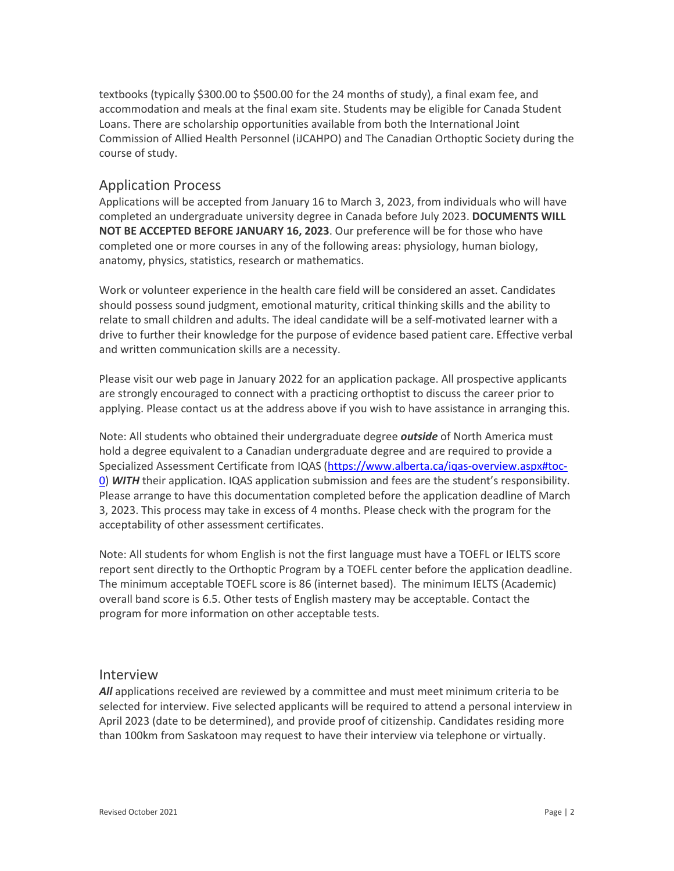textbooks (typically \$300.00 to \$500.00 for the 24 months of study), a final exam fee, and accommodation and meals at the final exam site. Students may be eligible for Canada Student Loans. There are scholarship opportunities available from both the International Joint Commission of Allied Health Personnel (iJCAHPO) and The Canadian Orthoptic Society during the course of study.

### Application Process

Applications will be accepted from January 16 to March 3, 2023, from individuals who will have completed an undergraduate university degree in Canada before July 2023. **DOCUMENTS WILL NOT BE ACCEPTED BEFORE JANUARY 16, 2023**. Our preference will be for those who have completed one or more courses in any of the following areas: physiology, human biology, anatomy, physics, statistics, research or mathematics.

Work or volunteer experience in the health care field will be considered an asset. Candidates should possess sound judgment, emotional maturity, critical thinking skills and the ability to relate to small children and adults. The ideal candidate will be a self-motivated learner with a drive to further their knowledge for the purpose of evidence based patient care. Effective verbal and written communication skills are a necessity.

Please visit our web page in January 2022 for an application package. All prospective applicants are strongly encouraged to connect with a practicing orthoptist to discuss the career prior to applying. Please contact us at the address above if you wish to have assistance in arranging this.

Note: All students who obtained their undergraduate degree *outside* of North America must hold a degree equivalent to a Canadian undergraduate degree and are required to provide a Specialized Assessment Certificate from IQAS [\(https://www.alberta.ca/iqas-overview.aspx#toc-](https://www.alberta.ca/iqas-overview.aspx#toc-0)[0\)](https://www.alberta.ca/iqas-overview.aspx#toc-0) *WITH* their application. IQAS application submission and fees are the student's responsibility. Please arrange to have this documentation completed before the application deadline of March 3, 2023. This process may take in excess of 4 months. Please check with the program for the acceptability of other assessment certificates.

Note: All students for whom English is not the first language must have a TOEFL or IELTS score report sent directly to the Orthoptic Program by a TOEFL center before the application deadline. The minimum acceptable TOEFL score is 86 (internet based). The minimum IELTS (Academic) overall band score is 6.5. Other tests of English mastery may be acceptable. Contact the program for more information on other acceptable tests.

#### Interview

*All* applications received are reviewed by a committee and must meet minimum criteria to be selected for interview. Five selected applicants will be required to attend a personal interview in April 2023 (date to be determined), and provide proof of citizenship. Candidates residing more than 100km from Saskatoon may request to have their interview via telephone or virtually.